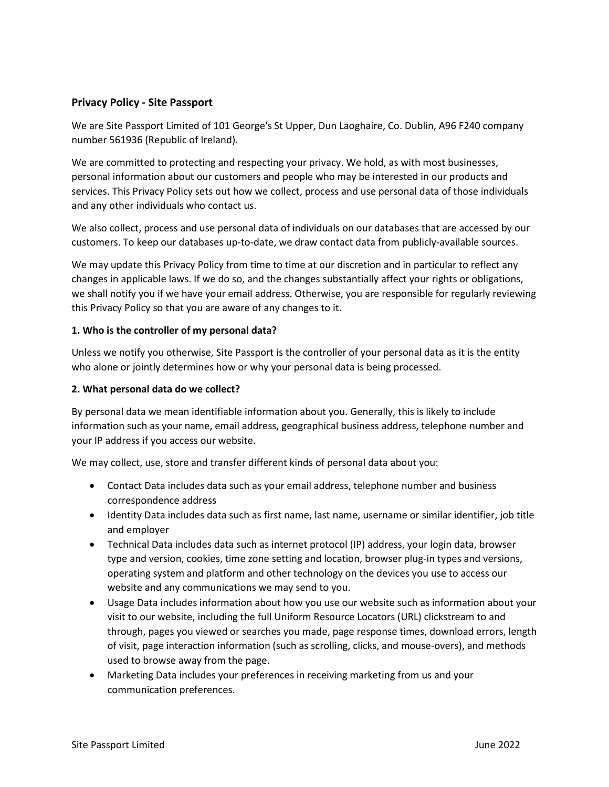## **Privacy Policy - Site Passport**

We are Site Passport Limited of 101 George's St Upper, Dun Laoghaire, Co. Dublin, A96 F240 company number 561936 (Republic of Ireland).

We are committed to protecting and respecting your privacy. We hold, as with most businesses, personal information about our customers and people who may be interested in our products and services. This Privacy Policy sets out how we collect, process and use personal data of those individuals and any other individuals who contact us.

We also collect, process and use personal data of individuals on our databases that are accessed by our customers. To keep our databases up-to-date, we draw contact data from publicly-available sources.

We may update this Privacy Policy from time to time at our discretion and in particular to reflect any changes in applicable laws. If we do so, and the changes substantially affect your rights or obligations, we shall notify you if we have your email address. Otherwise, you are responsible for regularly reviewing this Privacy Policy so that you are aware of any changes to it.

#### **1. Who is the controller of my personal data?**

Unless we notify you otherwise, Site Passport is the controller of your personal data as it is the entity who alone or jointly determines how or why your personal data is being processed.

### **2. What personal data do we collect?**

By personal data we mean identifiable information about you. Generally, this is likely to include information such as your name, email address, geographical business address, telephone number and your IP address if you access our website.

We may collect, use, store and transfer different kinds of personal data about you:

- Contact Data includes data such as your email address, telephone number and business correspondence address
- Identity Data includes data such as first name, last name, username or similar identifier, job title and employer
- Technical Data includes data such as internet protocol (IP) address, your login data, browser type and version, cookies, time zone setting and location, browser plug-in types and versions, operating system and platform and other technology on the devices you use to access our website and any communications we may send to you.
- Usage Data includes information about how you use our website such as information about your visit to our website, including the full Uniform Resource Locators (URL) clickstream to and through, pages you viewed or searches you made, page response times, download errors, length of visit, page interaction information (such as scrolling, clicks, and mouse-overs), and methods used to browse away from the page.
- Marketing Data includes your preferences in receiving marketing from us and your communication preferences.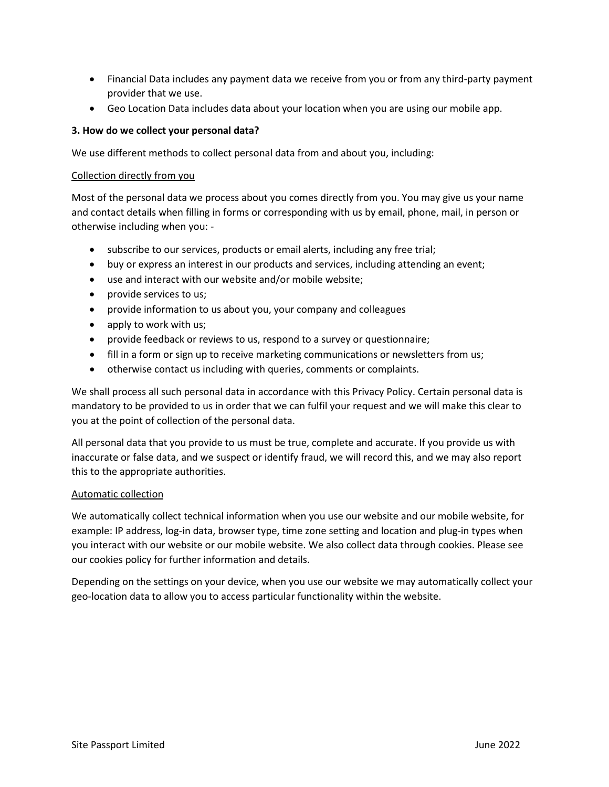- Financial Data includes any payment data we receive from you or from any third-party payment provider that we use.
- Geo Location Data includes data about your location when you are using our mobile app.

## **3. How do we collect your personal data?**

We use different methods to collect personal data from and about you, including:

#### Collection directly from you

Most of the personal data we process about you comes directly from you. You may give us your name and contact details when filling in forms or corresponding with us by email, phone, mail, in person or otherwise including when you: -

- subscribe to our services, products or email alerts, including any free trial;
- buy or express an interest in our products and services, including attending an event;
- use and interact with our website and/or mobile website;
- provide services to us;
- provide information to us about you, your company and colleagues
- apply to work with us;
- provide feedback or reviews to us, respond to a survey or questionnaire;
- fill in a form or sign up to receive marketing communications or newsletters from us;
- otherwise contact us including with queries, comments or complaints.

We shall process all such personal data in accordance with this Privacy Policy. Certain personal data is mandatory to be provided to us in order that we can fulfil your request and we will make this clear to you at the point of collection of the personal data.

All personal data that you provide to us must be true, complete and accurate. If you provide us with inaccurate or false data, and we suspect or identify fraud, we will record this, and we may also report this to the appropriate authorities.

#### Automatic collection

We automatically collect technical information when you use our website and our mobile website, for example: IP address, log-in data, browser type, time zone setting and location and plug-in types when you interact with our website or our mobile website. We also collect data through cookies. Please see our cookies policy for further information and details.

Depending on the settings on your device, when you use our website we may automatically collect your geo-location data to allow you to access particular functionality within the website.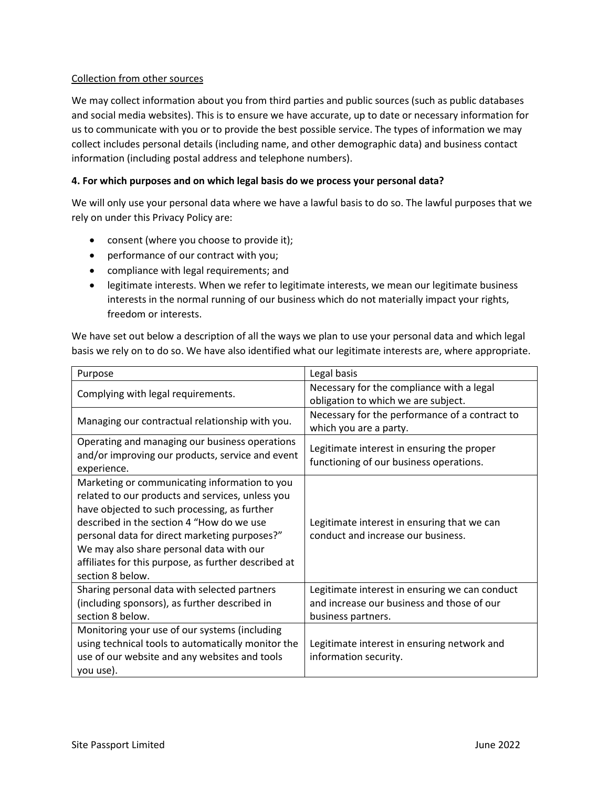## Collection from other sources

We may collect information about you from third parties and public sources (such as public databases and social media websites). This is to ensure we have accurate, up to date or necessary information for us to communicate with you or to provide the best possible service. The types of information we may collect includes personal details (including name, and other demographic data) and business contact information (including postal address and telephone numbers).

## **4. For which purposes and on which legal basis do we process your personal data?**

We will only use your personal data where we have a lawful basis to do so. The lawful purposes that we rely on under this Privacy Policy are:

- consent (where you choose to provide it);
- performance of our contract with you;
- compliance with legal requirements; and
- legitimate interests. When we refer to legitimate interests, we mean our legitimate business interests in the normal running of our business which do not materially impact your rights, freedom or interests.

We have set out below a description of all the ways we plan to use your personal data and which legal basis we rely on to do so. We have also identified what our legitimate interests are, where appropriate.

| Purpose                                              | Legal basis                                    |
|------------------------------------------------------|------------------------------------------------|
| Complying with legal requirements.                   | Necessary for the compliance with a legal      |
|                                                      | obligation to which we are subject.            |
| Managing our contractual relationship with you.      | Necessary for the performance of a contract to |
|                                                      | which you are a party.                         |
| Operating and managing our business operations       | Legitimate interest in ensuring the proper     |
| and/or improving our products, service and event     | functioning of our business operations.        |
| experience.                                          |                                                |
| Marketing or communicating information to you        |                                                |
| related to our products and services, unless you     |                                                |
| have objected to such processing, as further         |                                                |
| described in the section 4 "How do we use            | Legitimate interest in ensuring that we can    |
| personal data for direct marketing purposes?"        | conduct and increase our business.             |
| We may also share personal data with our             |                                                |
| affiliates for this purpose, as further described at |                                                |
| section 8 below.                                     |                                                |
| Sharing personal data with selected partners         | Legitimate interest in ensuring we can conduct |
| (including sponsors), as further described in        | and increase our business and those of our     |
| section 8 below.                                     | business partners.                             |
| Monitoring your use of our systems (including        |                                                |
| using technical tools to automatically monitor the   | Legitimate interest in ensuring network and    |
| use of our website and any websites and tools        | information security.                          |
| you use).                                            |                                                |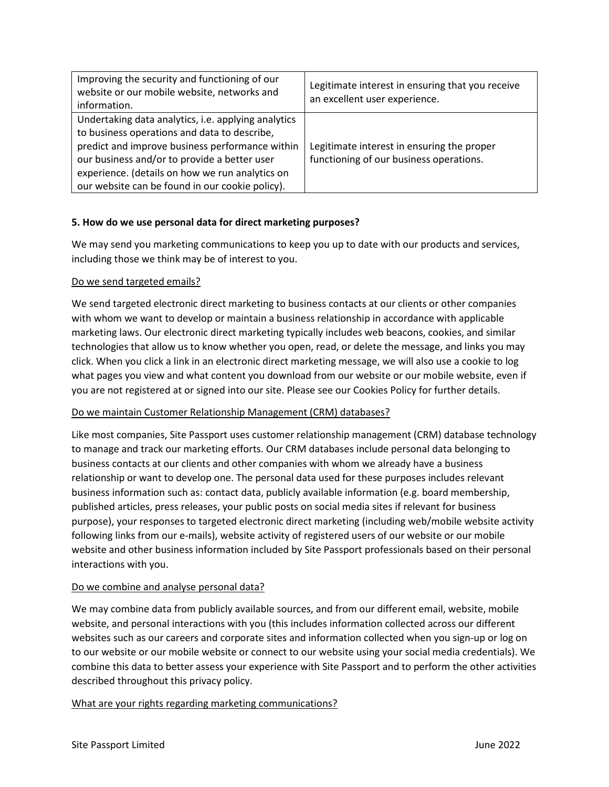| Improving the security and functioning of our<br>website or our mobile website, networks and<br>information.                                                                                                                                                                                                 | Legitimate interest in ensuring that you receive<br>an excellent user experience.     |
|--------------------------------------------------------------------------------------------------------------------------------------------------------------------------------------------------------------------------------------------------------------------------------------------------------------|---------------------------------------------------------------------------------------|
| Undertaking data analytics, i.e. applying analytics<br>to business operations and data to describe,<br>predict and improve business performance within<br>our business and/or to provide a better user<br>experience. (details on how we run analytics on<br>our website can be found in our cookie policy). | Legitimate interest in ensuring the proper<br>functioning of our business operations. |

## **5. How do we use personal data for direct marketing purposes?**

We may send you marketing communications to keep you up to date with our products and services, including those we think may be of interest to you.

#### Do we send targeted emails?

We send targeted electronic direct marketing to business contacts at our clients or other companies with whom we want to develop or maintain a business relationship in accordance with applicable marketing laws. Our electronic direct marketing typically includes web beacons, cookies, and similar technologies that allow us to know whether you open, read, or delete the message, and links you may click. When you click a link in an electronic direct marketing message, we will also use a cookie to log what pages you view and what content you download from our website or our mobile website, even if you are not registered at or signed into our site. Please see our Cookies Policy for further details.

## Do we maintain Customer Relationship Management (CRM) databases?

Like most companies, Site Passport uses customer relationship management (CRM) database technology to manage and track our marketing efforts. Our CRM databases include personal data belonging to business contacts at our clients and other companies with whom we already have a business relationship or want to develop one. The personal data used for these purposes includes relevant business information such as: contact data, publicly available information (e.g. board membership, published articles, press releases, your public posts on social media sites if relevant for business purpose), your responses to targeted electronic direct marketing (including web/mobile website activity following links from our e-mails), website activity of registered users of our website or our mobile website and other business information included by Site Passport professionals based on their personal interactions with you.

## Do we combine and analyse personal data?

We may combine data from publicly available sources, and from our different email, website, mobile website, and personal interactions with you (this includes information collected across our different websites such as our careers and corporate sites and information collected when you sign-up or log on to our website or our mobile website or connect to our website using your social media credentials). We combine this data to better assess your experience with Site Passport and to perform the other activities described throughout this privacy policy.

## What are your rights regarding marketing communications?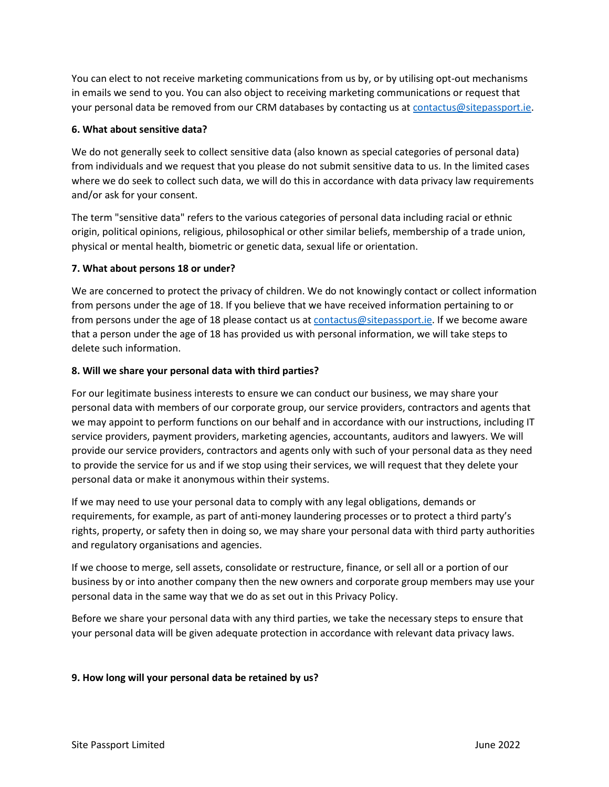You can elect to not receive marketing communications from us by, or by utilising opt-out mechanisms in emails we send to you. You can also object to receiving marketing communications or request that your personal data be removed from our CRM databases by contacting us at [contactus@sitepassport.ie.](mailto:contactus@sitepassport.ie)

## **6. What about sensitive data?**

We do not generally seek to collect sensitive data (also known as special categories of personal data) from individuals and we request that you please do not submit sensitive data to us. In the limited cases where we do seek to collect such data, we will do this in accordance with data privacy law requirements and/or ask for your consent.

The term "sensitive data" refers to the various categories of personal data including racial or ethnic origin, political opinions, religious, philosophical or other similar beliefs, membership of a trade union, physical or mental health, biometric or genetic data, sexual life or orientation.

#### **7. What about persons 18 or under?**

We are concerned to protect the privacy of children. We do not knowingly contact or collect information from persons under the age of 18. If you believe that we have received information pertaining to or from persons under the age of 18 please contact us at [contactus@sitepassport.ie.](mailto:contactus@sitepassport.ie) If we become aware that a person under the age of 18 has provided us with personal information, we will take steps to delete such information.

#### **8. Will we share your personal data with third parties?**

For our legitimate business interests to ensure we can conduct our business, we may share your personal data with members of our corporate group, our service providers, contractors and agents that we may appoint to perform functions on our behalf and in accordance with our instructions, including IT service providers, payment providers, marketing agencies, accountants, auditors and lawyers. We will provide our service providers, contractors and agents only with such of your personal data as they need to provide the service for us and if we stop using their services, we will request that they delete your personal data or make it anonymous within their systems.

If we may need to use your personal data to comply with any legal obligations, demands or requirements, for example, as part of anti-money laundering processes or to protect a third party's rights, property, or safety then in doing so, we may share your personal data with third party authorities and regulatory organisations and agencies.

If we choose to merge, sell assets, consolidate or restructure, finance, or sell all or a portion of our business by or into another company then the new owners and corporate group members may use your personal data in the same way that we do as set out in this Privacy Policy.

Before we share your personal data with any third parties, we take the necessary steps to ensure that your personal data will be given adequate protection in accordance with relevant data privacy laws.

## **9. How long will your personal data be retained by us?**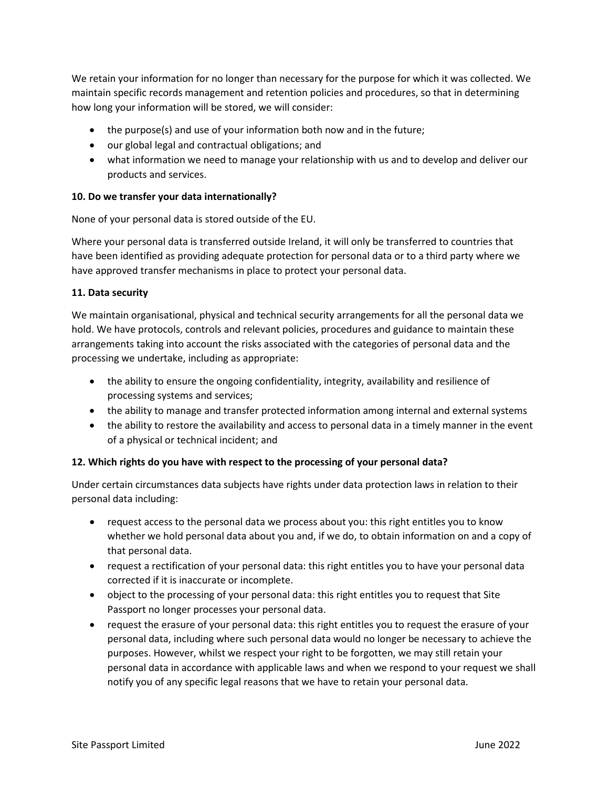We retain your information for no longer than necessary for the purpose for which it was collected. We maintain specific records management and retention policies and procedures, so that in determining how long your information will be stored, we will consider:

- the purpose(s) and use of your information both now and in the future;
- our global legal and contractual obligations; and
- what information we need to manage your relationship with us and to develop and deliver our products and services.

### **10. Do we transfer your data internationally?**

None of your personal data is stored outside of the EU.

Where your personal data is transferred outside Ireland, it will only be transferred to countries that have been identified as providing adequate protection for personal data or to a third party where we have approved transfer mechanisms in place to protect your personal data.

#### **11. Data security**

We maintain organisational, physical and technical security arrangements for all the personal data we hold. We have protocols, controls and relevant policies, procedures and guidance to maintain these arrangements taking into account the risks associated with the categories of personal data and the processing we undertake, including as appropriate:

- the ability to ensure the ongoing confidentiality, integrity, availability and resilience of processing systems and services;
- the ability to manage and transfer protected information among internal and external systems
- the ability to restore the availability and access to personal data in a timely manner in the event of a physical or technical incident; and

## **12. Which rights do you have with respect to the processing of your personal data?**

Under certain circumstances data subjects have rights under data protection laws in relation to their personal data including:

- request access to the personal data we process about you: this right entitles you to know whether we hold personal data about you and, if we do, to obtain information on and a copy of that personal data.
- request a rectification of your personal data: this right entitles you to have your personal data corrected if it is inaccurate or incomplete.
- object to the processing of your personal data: this right entitles you to request that Site Passport no longer processes your personal data.
- request the erasure of your personal data: this right entitles you to request the erasure of your personal data, including where such personal data would no longer be necessary to achieve the purposes. However, whilst we respect your right to be forgotten, we may still retain your personal data in accordance with applicable laws and when we respond to your request we shall notify you of any specific legal reasons that we have to retain your personal data.